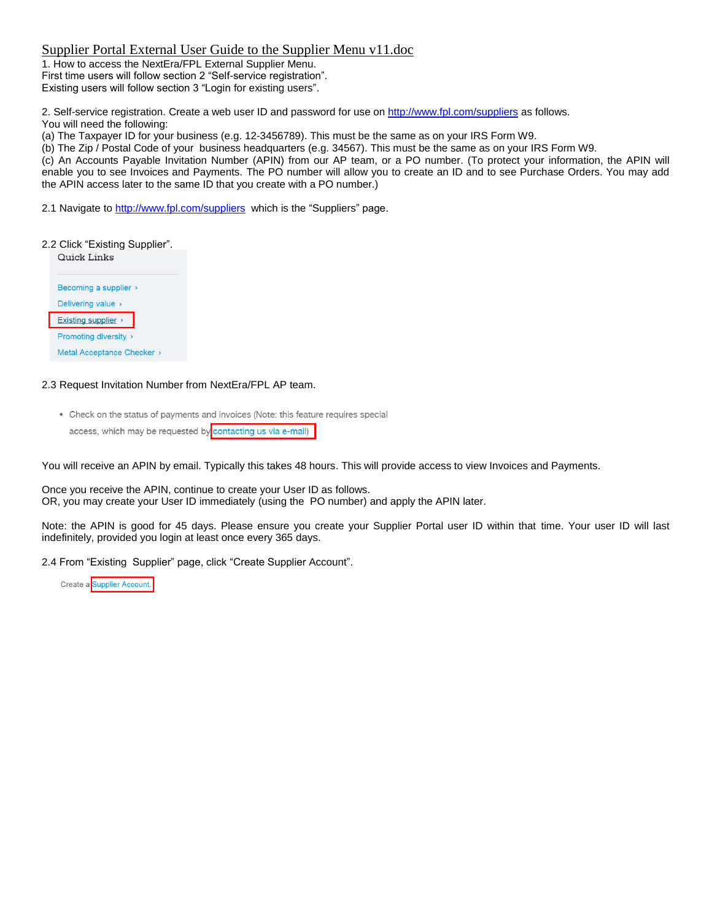1. How to access the NextEra/FPL External Supplier Menu. First time users will follow section 2 "Self-service registration". Existing users will follow section 3 "Login for existing users".

2. Self-service registration. Create a web user ID and password for use o[n http://www.fpl.com/suppliers](http://www.fpl.com/suppliers) as follows. You will need the following:

(a) The Taxpayer ID for your business (e.g. 12-3456789). This must be the same as on your IRS Form W9.

(b) The Zip / Postal Code of your business headquarters (e.g. 34567). This must be the same as on your IRS Form W9.

(c) An Accounts Payable Invitation Number (APIN) from our AP team, or a PO number. (To protect your information, the APIN will enable you to see Invoices and Payments. The PO number will allow you to create an ID and to see Purchase Orders. You may add the APIN access later to the same ID that you create with a PO number.)

2.1 Navigate to <http://www.fpl.com/suppliers> which is the "Suppliers" page.

#### 2.2 Click "Existing Supplier".



### 2.3 Request Invitation Number from NextEra/FPL AP team.

• Check on the status of payments and invoices (Note: this feature requires special access, which may be requested by contacting us via e-mail)

You will receive an APIN by email. Typically this takes 48 hours. This will provide access to view Invoices and Payments.

Once you receive the APIN, continue to create your User ID as follows. OR, you may create your User ID immediately (using the PO number) and apply the APIN later.

Note: the APIN is good for 45 days. Please ensure you create your Supplier Portal user ID within that time. Your user ID will last indefinitely, provided you login at least once every 365 days.

2.4 From "Existing Supplier" page, click "Create Supplier Account".

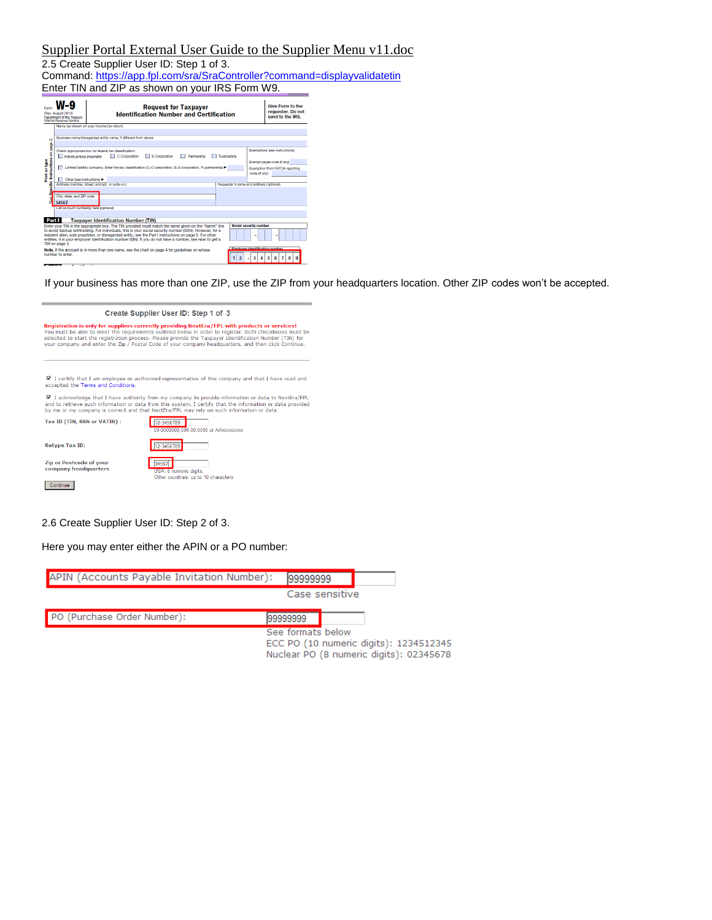### 2.5 Create Supplier User ID: Step 1 of 3.

Command[: https://app.fpl.com/sra/SraController?command=displayvalidatetin](https://app.fpl.com/sra/SraController?command=displayvalidatetin) Enter TIN and ZIP as shown on your IRS Form W9.

|                                                                                                                                                                                                                                                                                                                                                                                                                                                                                                                  | <b>Request for Taxpayer</b><br><b>Identification Number and Certification</b><br>(Rev. August 2013)<br>Department of the Treasury<br>Internal Revenue Service                                                                                                      | <b>Give Form to the</b><br>requester. Do not<br>send to the IRS.                                                |  |  |  |  |  |  |
|------------------------------------------------------------------------------------------------------------------------------------------------------------------------------------------------------------------------------------------------------------------------------------------------------------------------------------------------------------------------------------------------------------------------------------------------------------------------------------------------------------------|--------------------------------------------------------------------------------------------------------------------------------------------------------------------------------------------------------------------------------------------------------------------|-----------------------------------------------------------------------------------------------------------------|--|--|--|--|--|--|
| N                                                                                                                                                                                                                                                                                                                                                                                                                                                                                                                | Name (as shown on your income tax return)<br>Business name/disregarded entity name, if different from above                                                                                                                                                        |                                                                                                                 |  |  |  |  |  |  |
| Instructions on page<br>Print or type                                                                                                                                                                                                                                                                                                                                                                                                                                                                            | Check appropriate box for federal tax classification:<br>C Comoration<br>S Corporation<br>Individual/sole proprietor<br>Partnership<br>Trust/estate<br>Limited liability company. Enter the tax classification (C=C corporation, S=S corporation, P=partnership) > | Exemptions (see instructions):<br>Exempt payee code (if any)<br>Exemption from FATCA reporting<br>code (if any) |  |  |  |  |  |  |
| <b>Sific</b>                                                                                                                                                                                                                                                                                                                                                                                                                                                                                                     | Other (see instructions)<br>Address (number, street, and apt, or suite no.)<br>City, state, and ZIP code<br>34567                                                                                                                                                  | Requester's name and address (optional)                                                                         |  |  |  |  |  |  |
| Part I                                                                                                                                                                                                                                                                                                                                                                                                                                                                                                           | List account number(s) here (optional)<br><b>Taxpayer Identification Number (TIN)</b><br>Enter your TIN in the appropriate box. The TIN provided must match the name given on the "Name" line                                                                      | Social security number                                                                                          |  |  |  |  |  |  |
| to avoid backup withholding. For individuals, this is your social security number (SSN), However, for a<br>resident alien, sole proprietor, or disregarded entity, see the Part I instructions on page 3. For other<br>entities, it is vour employer identification number (EIN). If you do not have a number, see How to get a<br>TIN on page 3.<br><b>Employer identification number</b><br>Note, If the account is in more than one name, see the chart on page 4 for guidelines on whose<br>number to enter. |                                                                                                                                                                                                                                                                    |                                                                                                                 |  |  |  |  |  |  |

If your business has more than one ZIP, use the ZIP from your headquarters location. Other ZIP codes won't be accepted.

| Create Supplier User ID: Step 1 of 3                                                                                                                                                                                                                                                                                                                                                                                                                       |                                                                         |  |  |  |  |  |
|------------------------------------------------------------------------------------------------------------------------------------------------------------------------------------------------------------------------------------------------------------------------------------------------------------------------------------------------------------------------------------------------------------------------------------------------------------|-------------------------------------------------------------------------|--|--|--|--|--|
| Registration is only for suppliers currently providing NextEra/FPL with products or services!<br>You must be able to meet the requirements outlined below in order to register. Both checkboxes must be<br>selected to start the registration process. Please provide the Taxpayer Identification Number (TIN) for<br>your company and enter the Zip / Postal Code of your company headquarters, and then click Continue.                                  |                                                                         |  |  |  |  |  |
| I certify that I am employee or authorized representative of this company and that I have read and<br>accepted the Terms and Conditions.<br>■ I acknowledge that I have authority from my company to provide information or data to NextEra/FPL<br>and to retrieve such information or data from this system. I certify that the information or data provided<br>by me or my company is correct and that NextEra/FPL may rely on such information or data. |                                                                         |  |  |  |  |  |
| Tax ID (TIN, SSN or VATIN):                                                                                                                                                                                                                                                                                                                                                                                                                                | 12-3456789<br>00-0000000.000-00-0000 or AAxxxxxxxx                      |  |  |  |  |  |
| <b>Retype Tax ID:</b>                                                                                                                                                                                                                                                                                                                                                                                                                                      | 12-3456789                                                              |  |  |  |  |  |
| <b>Zip or Postcode of your</b><br>company headquarters<br>Continue                                                                                                                                                                                                                                                                                                                                                                                         | 34567<br>USA: 5 numeric digits.<br>Other countries: up to 10 characters |  |  |  |  |  |

2.6 Create Supplier User ID: Step 2 of 3.

Here you may enter either the APIN or a PO number:

| APIN (Accounts Payable Invitation Number): | 99999999                                                                                               |                |  |  |
|--------------------------------------------|--------------------------------------------------------------------------------------------------------|----------------|--|--|
|                                            |                                                                                                        | Case sensitive |  |  |
| PO (Purchase Order Number):                | 99999999                                                                                               |                |  |  |
|                                            | See formats below<br>ECC PO (10 numeric digits): 1234512345<br>Nuclear PO (8 numeric digits): 02345678 |                |  |  |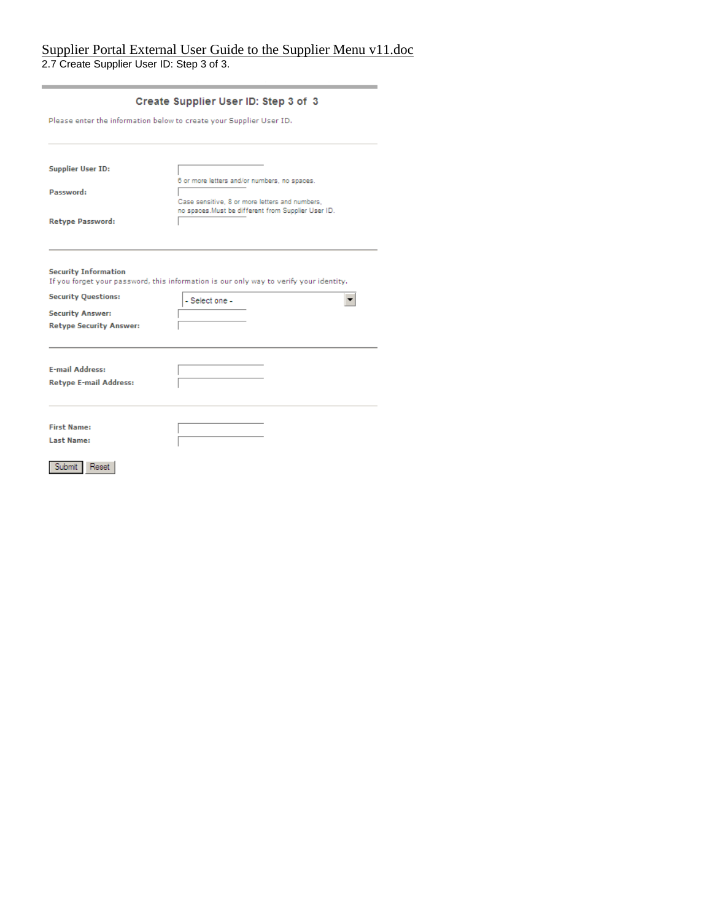### Supplier Portal External User Guide to the Supplier Menu v11.doc 2.7 Create Supplier User ID: Step 3 of 3.

| Please enter the information below to create your Supplier User ID. |                                                                                                       |  |  |  |  |
|---------------------------------------------------------------------|-------------------------------------------------------------------------------------------------------|--|--|--|--|
| <b>Supplier User ID:</b>                                            | 6 or more letters and/or numbers, no spaces.                                                          |  |  |  |  |
| Password:                                                           | Case sensitive. 8 or more letters and numbers.<br>no spaces. Must be different from Supplier User ID. |  |  |  |  |
| Retype Password:                                                    |                                                                                                       |  |  |  |  |
| <b>Security Information</b><br><b>Security Questions:</b>           | If you forget your password, this information is our only way to verify your identity.                |  |  |  |  |
| <b>Security Answer:</b>                                             | - Select one -                                                                                        |  |  |  |  |
| <b>Retype Security Answer:</b>                                      |                                                                                                       |  |  |  |  |
| <b>E-mail Address:</b>                                              |                                                                                                       |  |  |  |  |
| <b>Retype E-mail Address:</b>                                       |                                                                                                       |  |  |  |  |
| <b>First Name:</b>                                                  |                                                                                                       |  |  |  |  |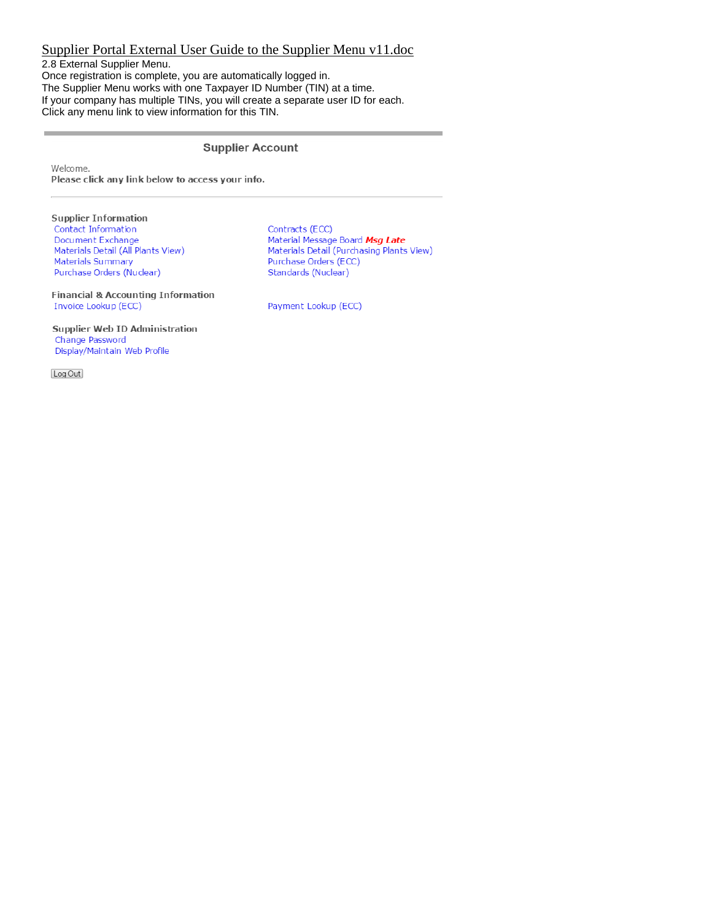2.8 External Supplier Menu. Once registration is complete, you are automatically logged in. The Supplier Menu works with one Taxpayer ID Number (TIN) at a time. If your company has multiple TINs, you will create a separate user ID for each. Click any menu link to view information for this TIN.

### **Supplier Account**

Welcome.

Please click any link below to access your info.

**Supplier Information** Contact Information Document Exchange Materials Detail (All Plants View) Materials Summary Purchase Orders (Nuclear)

Contracts (ECC) Material Message Board *Msg Late*<br>Materials Detail (Purchasing Plants View) Purchase Orders (ECC) Standards (Nuclear)

**Financial & Accounting Information** Invoice Lookup (ECC)

**Supplier Web ID Administration** Change Password Display/Maintain Web Profile

Log Out

Payment Lookup (ECC)